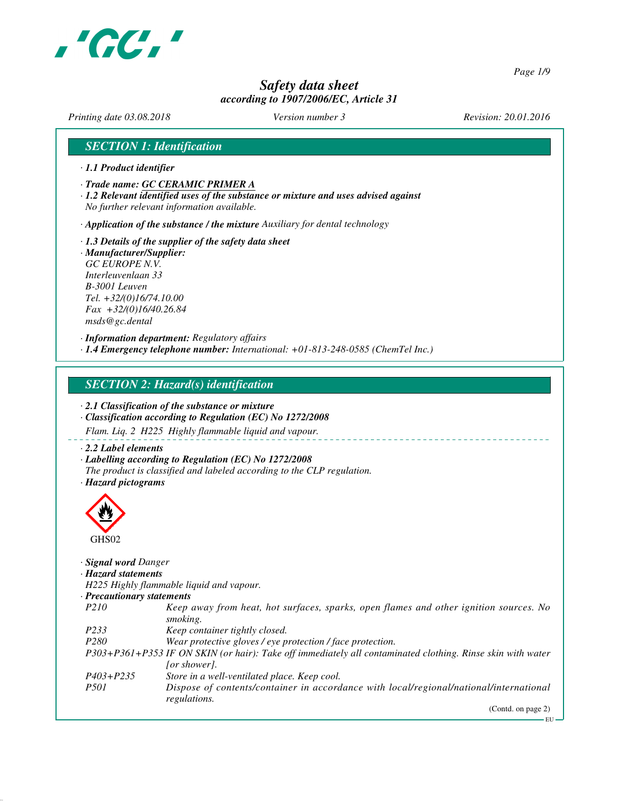

*Page 1/9*

## *Safety data sheet according to 1907/2006/EC, Article 31*

*Printing date 03.08.2018 Version number 3 Revision: 20.01.2016*

## *SECTION 1: Identification*

- *· 1.1 Product identifier*
- *· Trade name: GC CERAMIC PRIMER A*
- *· 1.2 Relevant identified uses of the substance or mixture and uses advised against No further relevant information available.*

*· Application of the substance / the mixture Auxiliary for dental technology*

*· 1.3 Details of the supplier of the safety data sheet · Manufacturer/Supplier: GC EUROPE N.V. Interleuvenlaan 33 B-3001 Leuven Tel. +32/(0)16/74.10.00 Fax +32/(0)16/40.26.84 msds@gc.dental*

*· Information department: Regulatory affairs · 1.4 Emergency telephone number: International: +01-813-248-0585 (ChemTel Inc.)*

*SECTION 2: Hazard(s) identification*

*· 2.1 Classification of the substance or mixture*

- *· Classification according to Regulation (EC) No 1272/2008*
- *Flam. Liq. 2 H225 Highly flammable liquid and vapour.*

*· 2.2 Label elements*

*· Labelling according to Regulation (EC) No 1272/2008*

*The product is classified and labeled according to the CLP regulation.*

*· Hazard pictograms*



#### *· Signal word Danger*

*· Hazard statements*

*H225 Highly flammable liquid and vapour.*

| · Precautionary statements |  |
|----------------------------|--|
|                            |  |

| P <sub>210</sub>  | Keep away from heat, hot surfaces, sparks, open flames and other ignition sources. No                                                                                                                                                                                                                                         |
|-------------------|-------------------------------------------------------------------------------------------------------------------------------------------------------------------------------------------------------------------------------------------------------------------------------------------------------------------------------|
|                   | smoking.                                                                                                                                                                                                                                                                                                                      |
| P <sub>2</sub> 33 | Keep container tightly closed.                                                                                                                                                                                                                                                                                                |
| P <sub>280</sub>  | Wear protective gloves / eve protection / face protection.                                                                                                                                                                                                                                                                    |
|                   | P303+P361+P353 IF ON SKIN (or hair): Take off immediately all contaminated clothing. Rinse skin with water                                                                                                                                                                                                                    |
|                   | [or shower].                                                                                                                                                                                                                                                                                                                  |
| P403+P235         | Store in a well-ventilated place. Keep cool.                                                                                                                                                                                                                                                                                  |
| $P-21$            | $\blacksquare$<br>$\mathbf{D}$ , $\mathbf{C}$ , $\mathbf{C}$ , $\mathbf{C}$ , $\mathbf{C}$ , $\mathbf{C}$ , $\mathbf{C}$ , $\mathbf{C}$ , $\mathbf{C}$ , $\mathbf{C}$ , $\mathbf{C}$ , $\mathbf{C}$ , $\mathbf{C}$ , $\mathbf{C}$ , $\mathbf{C}$ , $\mathbf{C}$ , $\mathbf{C}$ , $\mathbf{C}$ , $\mathbf{C}$ , $\mathbf{C}$ , |

*P501 Dispose of contents/container in accordance with local/regional/national/international regulations.*

(Contd. on page 2)

EU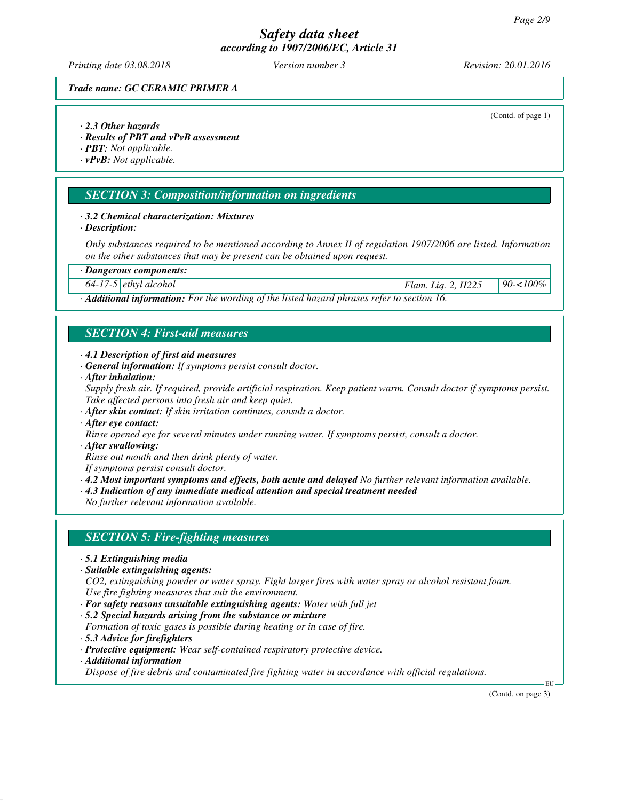*Printing date 03.08.2018 Version number 3 Revision: 20.01.2016*

(Contd. of page 1)

#### *Trade name: GC CERAMIC PRIMER A*

#### *· 2.3 Other hazards*

*· Results of PBT and vPvB assessment*

*· PBT: Not applicable.*

*· vPvB: Not applicable.*

#### *SECTION 3: Composition/information on ingredients*

#### *· 3.2 Chemical characterization: Mixtures*

*· Description:*

*Only substances required to be mentioned according to Annex II of regulation 1907/2006 are listed. Information on the other substances that may be present can be obtained upon request.*

*· Dangerous components:*

*64-17-5 ethyl alcohol Flam. Liq. 2, H225 90-<100%*

*· Additional information: For the wording of the listed hazard phrases refer to section 16.*

## *SECTION 4: First-aid measures*

- *· 4.1 Description of first aid measures*
- *· General information: If symptoms persist consult doctor.*
- *· After inhalation:*

*Supply fresh air. If required, provide artificial respiration. Keep patient warm. Consult doctor if symptoms persist. Take affected persons into fresh air and keep quiet.*

- *· After skin contact: If skin irritation continues, consult a doctor.*
- *· After eye contact:*

*Rinse opened eye for several minutes under running water. If symptoms persist, consult a doctor.*

*· After swallowing:*

*Rinse out mouth and then drink plenty of water.*

*If symptoms persist consult doctor.*

*· 4.2 Most important symptoms and effects, both acute and delayed No further relevant information available.*

*· 4.3 Indication of any immediate medical attention and special treatment needed*

*No further relevant information available.*

### *SECTION 5: Fire-fighting measures*

- *· 5.1 Extinguishing media*
- *· Suitable extinguishing agents:*

*CO2, extinguishing powder or water spray. Fight larger fires with water spray or alcohol resistant foam. Use fire fighting measures that suit the environment.*

- *· For safety reasons unsuitable extinguishing agents: Water with full jet*
- *· 5.2 Special hazards arising from the substance or mixture*
- *Formation of toxic gases is possible during heating or in case of fire.*
- *· 5.3 Advice for firefighters*
- *· Protective equipment: Wear self-contained respiratory protective device.*
- *· Additional information*

*Dispose of fire debris and contaminated fire fighting water in accordance with official regulations.*

(Contd. on page 3)

EU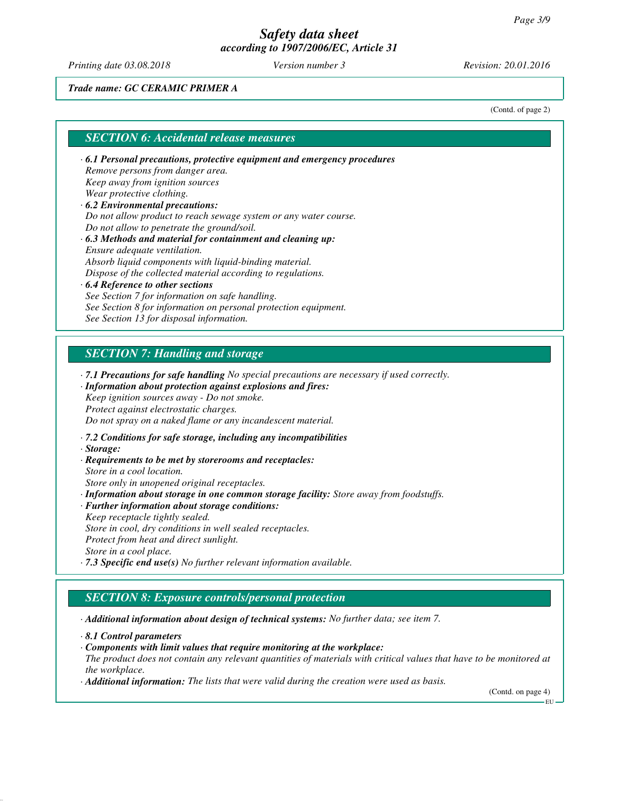*Printing date 03.08.2018 Version number 3 Revision: 20.01.2016*

#### *Trade name: GC CERAMIC PRIMER A*

(Contd. of page 2)

#### *SECTION 6: Accidental release measures*

- *· 6.1 Personal precautions, protective equipment and emergency procedures Remove persons from danger area. Keep away from ignition sources Wear protective clothing. · 6.2 Environmental precautions:*
- *Do not allow product to reach sewage system or any water course. Do not allow to penetrate the ground/soil.*
- *· 6.3 Methods and material for containment and cleaning up: Ensure adequate ventilation. Absorb liquid components with liquid-binding material. Dispose of the collected material according to regulations.*
- *· 6.4 Reference to other sections See Section 7 for information on safe handling. See Section 8 for information on personal protection equipment. See Section 13 for disposal information.*

## *SECTION 7: Handling and storage*

*· 7.1 Precautions for safe handling No special precautions are necessary if used correctly.*

#### *· Information about protection against explosions and fires: Keep ignition sources away - Do not smoke.*

*Protect against electrostatic charges.*

*Do not spray on a naked flame or any incandescent material.*

- *· 7.2 Conditions for safe storage, including any incompatibilities*
- *· Storage:*
- *· Requirements to be met by storerooms and receptacles: Store in a cool location.*
- *Store only in unopened original receptacles.*

*· Information about storage in one common storage facility: Store away from foodstuffs.*

*· Further information about storage conditions: Keep receptacle tightly sealed. Store in cool, dry conditions in well sealed receptacles. Protect from heat and direct sunlight.*

*Store in a cool place.*

*· 7.3 Specific end use(s) No further relevant information available.*

## *SECTION 8: Exposure controls/personal protection*

*· Additional information about design of technical systems: No further data; see item 7.*

- *· Components with limit values that require monitoring at the workplace:*
- *The product does not contain any relevant quantities of materials with critical values that have to be monitored at the workplace.*
- *· Additional information: The lists that were valid during the creation were used as basis.*

(Contd. on page 4)

EU

*<sup>·</sup> 8.1 Control parameters*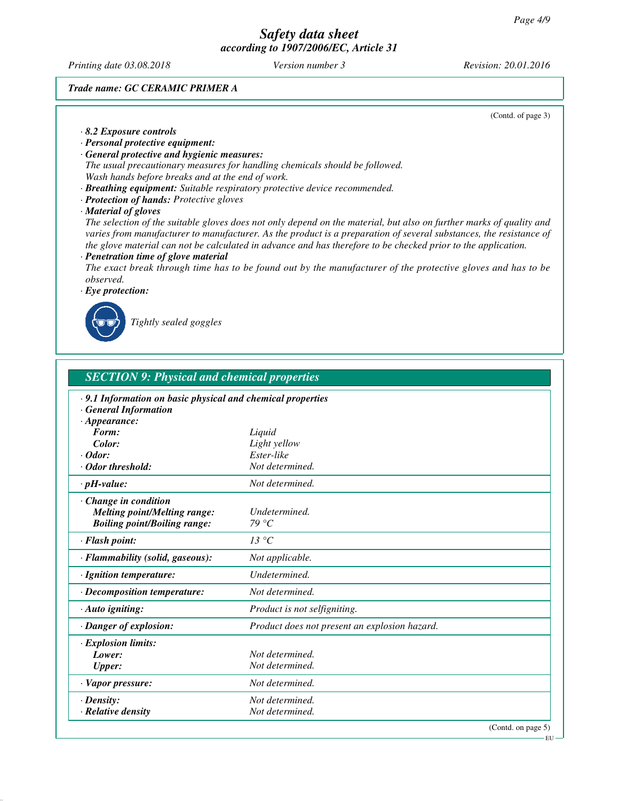*Printing date 03.08.2018 Version number 3 Revision: 20.01.2016*

### *Trade name: GC CERAMIC PRIMER A*

(Contd. of page 3)

#### *· 8.2 Exposure controls · Personal protective equipment: · General protective and hygienic measures: The usual precautionary measures for handling chemicals should be followed. Wash hands before breaks and at the end of work. · Breathing equipment: Suitable respiratory protective device recommended. · Protection of hands: Protective gloves · Material of gloves The selection of the suitable gloves does not only depend on the material, but also on further marks of quality and varies from manufacturer to manufacturer. As the product is a preparation of several substances, the resistance of the glove material can not be calculated in advance and has therefore to be checked prior to the application. · Penetration time of glove material The exact break through time has to be found out by the manufacturer of the protective gloves and has to be observed. · Eye protection:*



*Tightly sealed goggles*

| <b>SECTION 9: Physical and chemical properties</b>                                                        |                                               |  |
|-----------------------------------------------------------------------------------------------------------|-----------------------------------------------|--|
| · 9.1 Information on basic physical and chemical properties<br><b>General Information</b>                 |                                               |  |
| $\cdot$ Appearance:<br>Form:                                                                              | Liquid                                        |  |
| Color:                                                                                                    | Light yellow                                  |  |
| $\cdot$ Odor:                                                                                             | Ester-like                                    |  |
| · Odor threshold:                                                                                         | Not determined.                               |  |
| $\cdot$ pH-value:                                                                                         | Not determined.                               |  |
| $\cdot$ Change in condition<br><b>Melting point/Melting range:</b><br><b>Boiling point/Boiling range:</b> | Undetermined.<br>79 °C                        |  |
| · Flash point:                                                                                            | 13 °C                                         |  |
| · Flammability (solid, gaseous):                                                                          | Not applicable.                               |  |
| · Ignition temperature:                                                                                   | Undetermined.                                 |  |
| · Decomposition temperature:                                                                              | Not determined.                               |  |
| $\cdot$ Auto igniting:                                                                                    | Product is not selfigniting.                  |  |
| · Danger of explosion:                                                                                    | Product does not present an explosion hazard. |  |
| · Explosion limits:                                                                                       |                                               |  |
| Lower:                                                                                                    | Not determined.                               |  |
| <b>Upper:</b>                                                                                             | Not determined.                               |  |
| · Vapor pressure:                                                                                         | Not determined.                               |  |
| $\cdot$ Density:                                                                                          | Not determined.                               |  |
| · Relative density                                                                                        | Not determined.                               |  |

EU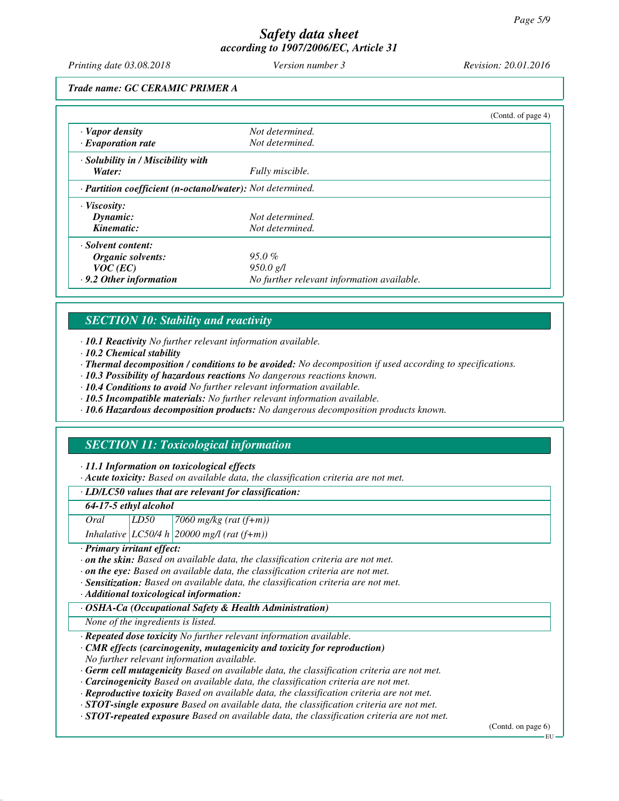*Printing date 03.08.2018 Version number 3 Revision: 20.01.2016*

#### *Trade name: GC CERAMIC PRIMER A*

|                                                            |                                            | (Cond. of page 4) |
|------------------------------------------------------------|--------------------------------------------|-------------------|
| $\cdot$ Vapor density                                      | Not determined.                            |                   |
| $\cdot$ Evaporation rate                                   | Not determined.                            |                   |
| · Solubility in / Miscibility with                         |                                            |                   |
| Water:                                                     | Fully miscible.                            |                   |
| · Partition coefficient (n-octanol/water): Not determined. |                                            |                   |
| · Viscosity:                                               |                                            |                   |
| Dynamic:                                                   | Not determined.                            |                   |
| Kinematic:                                                 | Not determined.                            |                   |
| · Solvent content:                                         |                                            |                   |
| Organic solvents:                                          | $95.0\%$                                   |                   |
| $VOC$ (EC)                                                 | 950.0 g/l                                  |                   |
| $\cdot$ 9.2 Other information                              | No further relevant information available. |                   |

## *SECTION 10: Stability and reactivity*

*· 10.1 Reactivity No further relevant information available.*

- *· 10.2 Chemical stability*
- *· Thermal decomposition / conditions to be avoided: No decomposition if used according to specifications.*
- *· 10.3 Possibility of hazardous reactions No dangerous reactions known.*
- *· 10.4 Conditions to avoid No further relevant information available.*
- *· 10.5 Incompatible materials: No further relevant information available.*
- *· 10.6 Hazardous decomposition products: No dangerous decomposition products known.*

## *SECTION 11: Toxicological information*

#### *· 11.1 Information on toxicological effects*

*· Acute toxicity: Based on available data, the classification criteria are not met.*

*· LD/LC50 values that are relevant for classification:*

#### *64-17-5 ethyl alcohol*

*Oral LD50 7060 mg/kg (rat (f+m))*

*Inhalative LC50/4 h 20000 mg/l (rat (f+m))*

*· Primary irritant effect:*

- *· on the skin: Based on available data, the classification criteria are not met.*
- *· on the eye: Based on available data, the classification criteria are not met.*
- *· Sensitization: Based on available data, the classification criteria are not met.*
- *· Additional toxicological information:*
- *· OSHA-Ca (Occupational Safety & Health Administration)*

*None of the ingredients is listed.*

*· Repeated dose toxicity No further relevant information available.*

- *· CMR effects (carcinogenity, mutagenicity and toxicity for reproduction)*
- *No further relevant information available.*
- *· Germ cell mutagenicity Based on available data, the classification criteria are not met.*
- *· Carcinogenicity Based on available data, the classification criteria are not met.*
- *· Reproductive toxicity Based on available data, the classification criteria are not met.*
- *· STOT-single exposure Based on available data, the classification criteria are not met.*
- *· STOT-repeated exposure Based on available data, the classification criteria are not met.*

(Contd. on page 6)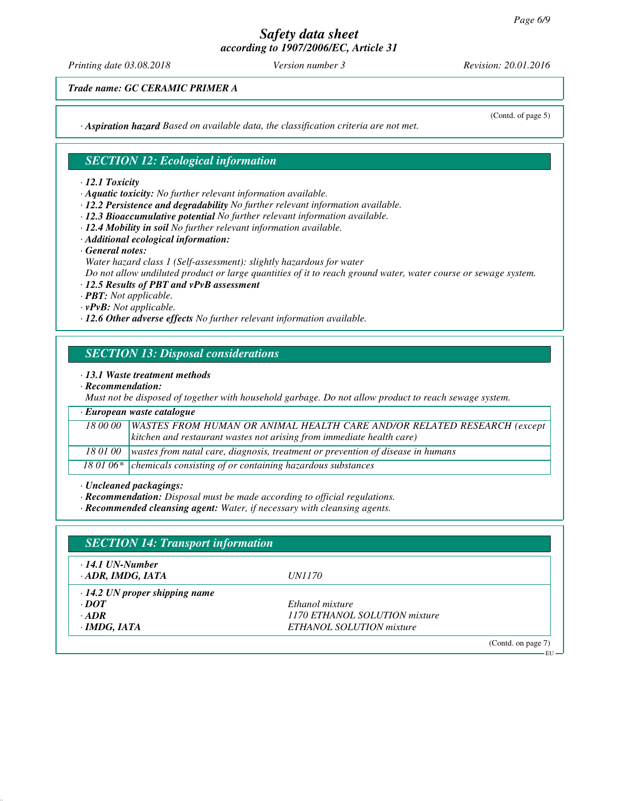*Printing date 03.08.2018 Version number 3 Revision: 20.01.2016*

*Trade name: GC CERAMIC PRIMER A*

*· Aspiration hazard Based on available data, the classification criteria are not met.*

### *SECTION 12: Ecological information*

#### *· 12.1 Toxicity*

*· Aquatic toxicity: No further relevant information available.*

- *· 12.2 Persistence and degradability No further relevant information available.*
- *· 12.3 Bioaccumulative potential No further relevant information available.*
- *· 12.4 Mobility in soil No further relevant information available.*
- *· Additional ecological information:*
- *· General notes:*
- *Water hazard class 1 (Self-assessment): slightly hazardous for water Do not allow undiluted product or large quantities of it to reach ground water, water course or sewage system.*

#### *· 12.5 Results of PBT and vPvB assessment*

- *· PBT: Not applicable.*
- *· vPvB: Not applicable.*
- *· 12.6 Other adverse effects No further relevant information available.*

### *SECTION 13: Disposal considerations*

#### *· 13.1 Waste treatment methods*

*· Recommendation:*

*Must not be disposed of together with household garbage. Do not allow product to reach sewage system.*

# *· European waste catalogue*

| 18 00 00 WASTES FROM HUMAN OR ANIMAL HEALTH CARE AND/OR RELATED RESEARCH (except |
|----------------------------------------------------------------------------------|
| kitchen and restaurant wastes not arising from immediate health care)            |

*18 01 00 wastes from natal care, diagnosis, treatment or prevention of disease in humans*

18 01 06\* chemicals consisting of or containing hazardous substances

*· Uncleaned packagings:*

*· Recommendation: Disposal must be made according to official regulations.*

*· Recommended cleansing agent: Water, if necessary with cleansing agents.*

| <b>SECTION 14: Transport information</b>          |                               |  |
|---------------------------------------------------|-------------------------------|--|
| $\cdot$ 14.1 UN-Number<br>$\cdot$ ADR, IMDG, IATA | <i>UN1170</i>                 |  |
| $\cdot$ 14.2 UN proper shipping name              |                               |  |
| $\cdot$ <i>DOT</i>                                | Ethanol mixture               |  |
| $-ADR$                                            | 1170 ETHANOL SOLUTION mixture |  |
| $\cdot$ IMDG, IATA                                | ETHANOL SOLUTION mixture      |  |
|                                                   | (Contd. on page 7)            |  |

(Contd. of page 5)

 $-$ EU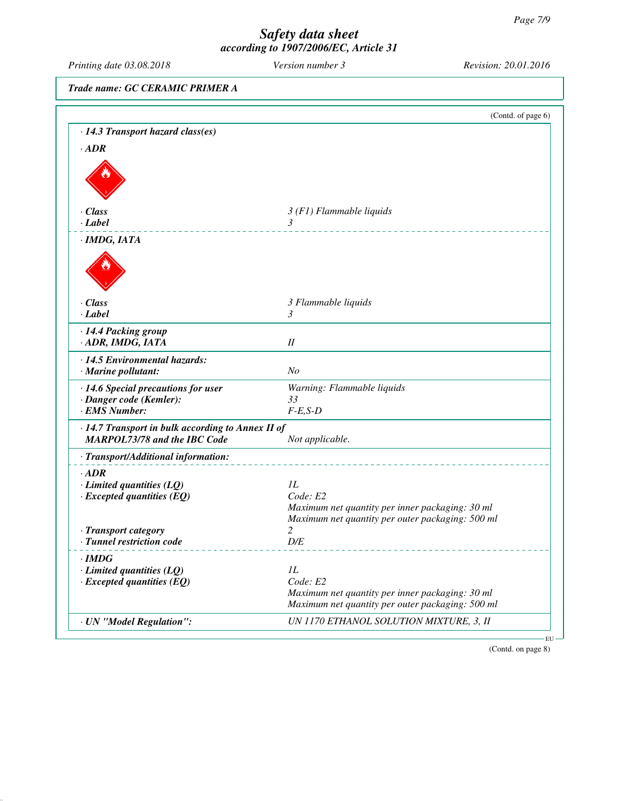*Printing date 03.08.2018 Version number 3 Revision: 20.01.2016 Trade name: GC CERAMIC PRIMER A* (Contd. of page 6) *· 14.3 Transport hazard class(es) · ADR · Class 3 (F1) Flammable liquids · Label 3 · IMDG, IATA · Class 3 Flammable liquids · Label 3 · 14.4 Packing group · ADR, IMDG, IATA II · 14.5 Environmental hazards: · Marine pollutant: No · 14.6 Special precautions for user Warning: Flammable liquids · Danger code (Kemler):* 33<br>*· EMS Number: F-E,S-D · EMS Number: · 14.7 Transport in bulk according to Annex II of MARPOL73/78 and the IBC Code Not applicable. · Transport/Additional information: · ADR <i>·* **Limited quantities (LQ)** *1L*<br>*· Excepted quantities (EO) Code: E2 · Excepted quantities (EQ) Maximum net quantity per inner packaging: 30 ml Maximum net quantity per outer packaging: 500 ml · Transport category 2 · Tunnel restriction code D/E · IMDG · Limited quantities (LQ) 1L*<br>*· Excepted quantities (EQ) Code: E2 · Excepted quantities (EQ) Maximum net quantity per inner packaging: 30 ml Maximum net quantity per outer packaging: 500 ml · UN "Model Regulation": UN 1170 ETHANOL SOLUTION MIXTURE, 3, II* EU

(Contd. on page 8)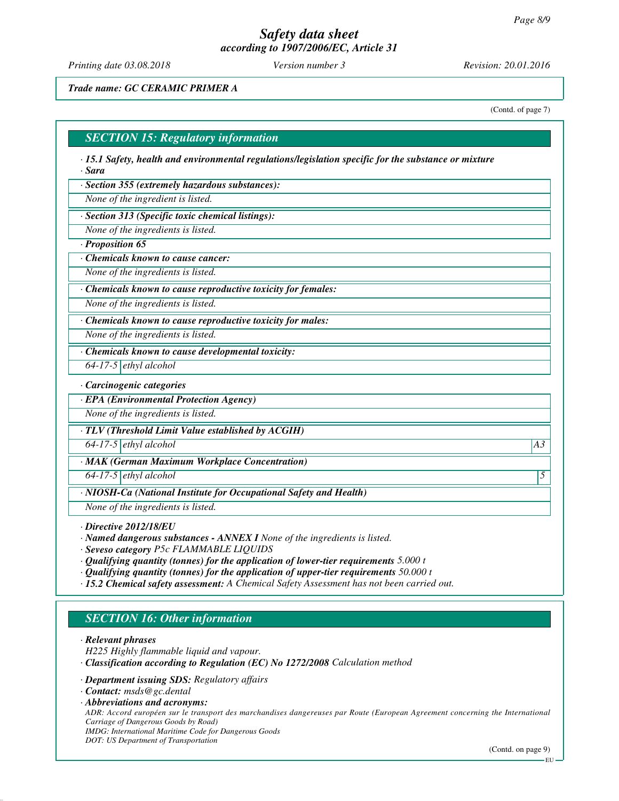*Printing date 03.08.2018 Version number 3 Revision: 20.01.2016*

### *Trade name: GC CERAMIC PRIMER A*

(Contd. of page 7)

#### *SECTION 15: Regulatory information*

*· 15.1 Safety, health and environmental regulations/legislation specific for the substance or mixture · Sara*

*· Section 355 (extremely hazardous substances):*

*None of the ingredient is listed.*

*· Section 313 (Specific toxic chemical listings):*

*None of the ingredients is listed.*

*· Proposition 65*

*· Chemicals known to cause cancer:*

*None of the ingredients is listed.*

*· Chemicals known to cause reproductive toxicity for females:*

*None of the ingredients is listed.*

*· Chemicals known to cause reproductive toxicity for males:*

*None of the ingredients is listed.*

*· Chemicals known to cause developmental toxicity:*

*64-17-5 ethyl alcohol*

*· Carcinogenic categories*

*· EPA (Environmental Protection Agency)*

*None of the ingredients is listed.*

*· TLV (Threshold Limit Value established by ACGIH)*

*64-17-5 ethyl alcohol A3*

*· MAK (German Maximum Workplace Concentration)*

*64-17-5 ethyl alcohol 5* 

*· NIOSH-Ca (National Institute for Occupational Safety and Health)*

*None of the ingredients is listed.*

*· Directive 2012/18/EU*

*· Named dangerous substances - ANNEX I None of the ingredients is listed.*

*· Seveso category P5c FLAMMABLE LIQUIDS*

- *· Qualifying quantity (tonnes) for the application of lower-tier requirements 5.000 t*
- *· Qualifying quantity (tonnes) for the application of upper-tier requirements 50.000 t*
- *· 15.2 Chemical safety assessment: A Chemical Safety Assessment has not been carried out.*

## *SECTION 16: Other information*

*· Relevant phrases*

- *H225 Highly flammable liquid and vapour.*
- *· Classification according to Regulation (EC) No 1272/2008 Calculation method*
- *· Department issuing SDS: Regulatory affairs*

*· Abbreviations and acronyms: ADR: Accord européen sur le transport des marchandises dangereuses par Route (European Agreement concerning the International Carriage of Dangerous Goods by Road) IMDG: International Maritime Code for Dangerous Goods DOT: US Department of Transportation*

(Contd. on page 9)

*<sup>·</sup> Contact: msds@gc.dental*